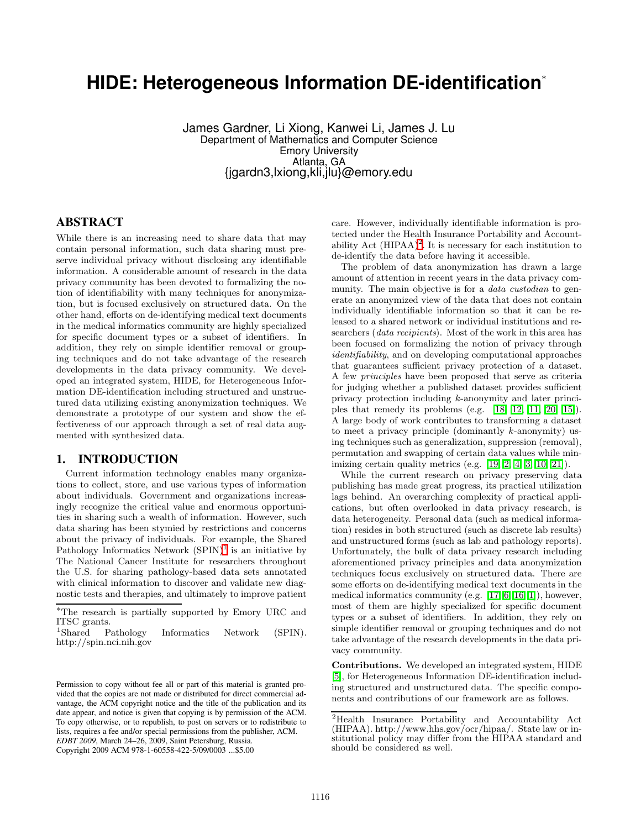# HIDE: Heterogeneous Information DE-identification<sup>®</sup>

James Gardner, Li Xiong, Kanwei Li, James J. Lu Department of Mathematics and Computer Science Emory University Atlanta, GA {jgardn3,lxiong,kli,jlu}@emory.edu

# ABSTRACT

While there is an increasing need to share data that may contain personal information, such data sharing must preserve individual privacy without disclosing any identifiable information. A considerable amount of research in the data privacy community has been devoted to formalizing the notion of identifiability with many techniques for anonymization, but is focused exclusively on structured data. On the other hand, efforts on de-identifying medical text documents in the medical informatics community are highly specialized for specific document types or a subset of identifiers. In addition, they rely on simple identifier removal or grouping techniques and do not take advantage of the research developments in the data privacy community. We developed an integrated system, HIDE, for Heterogeneous Information DE-identification including structured and unstructured data utilizing existing anonymization techniques. We demonstrate a prototype of our system and show the effectiveness of our approach through a set of real data augmented with synthesized data.

## 1. INTRODUCTION

Current information technology enables many organizations to collect, store, and use various types of information about individuals. Government and organizations increasingly recognize the critical value and enormous opportunities in sharing such a wealth of information. However, such data sharing has been stymied by restrictions and concerns about the privacy of individuals. For example, the Shared Pathology Informatics Network  $(SPIN)^1$  $(SPIN)^1$  is an initiative by The National Cancer Institute for researchers throughout the U.S. for sharing pathology-based data sets annotated with clinical information to discover and validate new diagnostic tests and therapies, and ultimately to improve patient

care. However, individually identifiable information is protected under the Health Insurance Portability and Accountability Act  $(HIPAA)^2$  $(HIPAA)^2$ . It is necessary for each institution to de-identify the data before having it accessible.

The problem of data anonymization has drawn a large amount of attention in recent years in the data privacy community. The main objective is for a *data custodian* to generate an anonymized view of the data that does not contain individually identifiable information so that it can be released to a shared network or individual institutions and researchers *(data recipients)*. Most of the work in this area has been focused on formalizing the notion of privacy through identifiability, and on developing computational approaches that guarantees sufficient privacy protection of a dataset. A few principles have been proposed that serve as criteria for judging whether a published dataset provides sufficient privacy protection including k-anonymity and later principles that remedy its problems (e.g. [\[18,](#page-3-0) [12,](#page-3-1) [11,](#page-3-2) 20, 15]). A large body of work contributes to transforming a dataset to meet a privacy principle (dominantly k-anonymity) using techniques such as generalization, suppression (removal), permutation and swapping of certain data values while minimizing certain quality metrics (e.g. [\[19,](#page-3-3) [2,](#page-3-4) [4,](#page-3-5) [3,](#page-3-6) [10,](#page-3-7) 21]).

While the current research on privacy preserving data publishing has made great progress, its practical utilization lags behind. An overarching complexity of practical applications, but often overlooked in data privacy research, is data heterogeneity. Personal data (such as medical information) resides in both structured (such as discrete lab results) and unstructured forms (such as lab and pathology reports). Unfortunately, the bulk of data privacy research including aforementioned privacy principles and data anonymization techniques focus exclusively on structured data. There are some efforts on de-identifying medical text documents in the medical informatics community (e.g. [\[17,](#page-3-8) [6,](#page-3-9) [16,](#page-3-10) [1\]](#page-3-11)), however, most of them are highly specialized for specific document types or a subset of identifiers. In addition, they rely on simple identifier removal or grouping techniques and do not take advantage of the research developments in the data privacy community.

Contributions. We developed an integrated system, HIDE [5], for Heterogeneous Information DE-identification including structured and unstructured data. The specific components and contributions of our framework are as follows.

<sup>∗</sup>The research is partially supported by Emory URC and ITSC grants.<br><sup>1</sup>Shared P

<span id="page-0-0"></span>Pathology Informatics Network (SPIN). http://spin.nci.nih.gov

Permission to copy without fee all or part of this material is granted provided that the copies are not made or distributed for direct commercial advantage, the ACM copyright notice and the title of the publication and its date appear, and notice is given that copying is by permission of the ACM. To copy otherwise, or to republish, to post on servers or to redistribute to lists, requires a fee and/or special permissions from the publisher, ACM. EDBT 2009, March 24–26, 2009, Saint Petersburg, Russia. Copyright 2009 ACM 978-1-60558-422-5/09/0003 ...\$5.00

<span id="page-0-1"></span><sup>2</sup>Health Insurance Portability and Accountability Act (HIPAA). http://www.hhs.gov/ocr/hipaa/. State law or institutional policy may differ from the HIPAA standard and should be considered as well.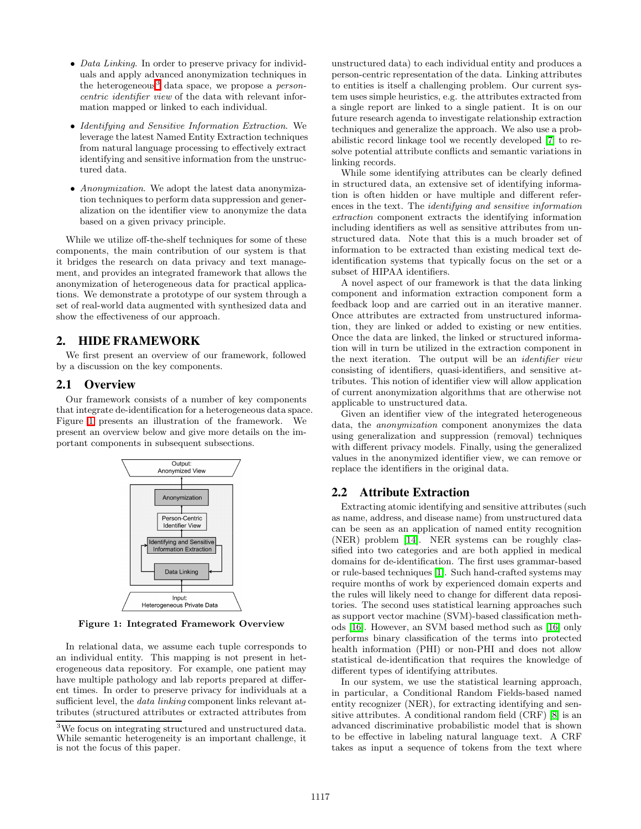- Data Linking. In order to preserve privacy for individuals and apply advanced anonymization techniques in the heterogeneous<sup>[3](#page-1-0)</sup> data space, we propose a *person*centric identifier view of the data with relevant information mapped or linked to each individual.
- Identifying and Sensitive Information Extraction. We leverage the latest Named Entity Extraction techniques from natural language processing to effectively extract identifying and sensitive information from the unstructured data.
- Anonymization. We adopt the latest data anonymization techniques to perform data suppression and generalization on the identifier view to anonymize the data based on a given privacy principle.

While we utilize off-the-shelf techniques for some of these components, the main contribution of our system is that it bridges the research on data privacy and text management, and provides an integrated framework that allows the anonymization of heterogeneous data for practical applications. We demonstrate a prototype of our system through a set of real-world data augmented with synthesized data and show the effectiveness of our approach.

# 2. HIDE FRAMEWORK

We first present an overview of our framework, followed by a discussion on the key components.

### 2.1 Overview

Our framework consists of a number of key components that integrate de-identification for a heterogeneous data space. Figure [1](#page-1-1) presents an illustration of the framework. We present an overview below and give more details on the important components in subsequent subsections.



Figure 1: Integrated Framework Overview

<span id="page-1-1"></span>In relational data, we assume each tuple corresponds to an individual entity. This mapping is not present in heterogeneous data repository. For example, one patient may have multiple pathology and lab reports prepared at different times. In order to preserve privacy for individuals at a sufficient level, the *data linking* component links relevant attributes (structured attributes or extracted attributes from

unstructured data) to each individual entity and produces a person-centric representation of the data. Linking attributes to entities is itself a challenging problem. Our current system uses simple heuristics, e.g. the attributes extracted from a single report are linked to a single patient. It is on our future research agenda to investigate relationship extraction techniques and generalize the approach. We also use a probabilistic record linkage tool we recently developed [\[7\]](#page-3-12) to resolve potential attribute conflicts and semantic variations in linking records.

While some identifying attributes can be clearly defined in structured data, an extensive set of identifying information is often hidden or have multiple and different references in the text. The identifying and sensitive information extraction component extracts the identifying information including identifiers as well as sensitive attributes from unstructured data. Note that this is a much broader set of information to be extracted than existing medical text deidentification systems that typically focus on the set or a subset of HIPAA identifiers.

A novel aspect of our framework is that the data linking component and information extraction component form a feedback loop and are carried out in an iterative manner. Once attributes are extracted from unstructured information, they are linked or added to existing or new entities. Once the data are linked, the linked or structured information will in turn be utilized in the extraction component in the next iteration. The output will be an identifier view consisting of identifiers, quasi-identifiers, and sensitive attributes. This notion of identifier view will allow application of current anonymization algorithms that are otherwise not applicable to unstructured data.

Given an identifier view of the integrated heterogeneous data, the anonymization component anonymizes the data using generalization and suppression (removal) techniques with different privacy models. Finally, using the generalized values in the anonymized identifier view, we can remove or replace the identifiers in the original data.

#### 2.2 Attribute Extraction

Extracting atomic identifying and sensitive attributes (such as name, address, and disease name) from unstructured data can be seen as an application of named entity recognition (NER) problem [\[14\]](#page-3-13). NER systems can be roughly classified into two categories and are both applied in medical domains for de-identification. The first uses grammar-based or rule-based techniques [\[1\]](#page-3-11). Such hand-crafted systems may require months of work by experienced domain experts and the rules will likely need to change for different data repositories. The second uses statistical learning approaches such as support vector machine (SVM)-based classification methods [\[16\]](#page-3-10). However, an SVM based method such as [\[16\]](#page-3-10) only performs binary classification of the terms into protected health information (PHI) or non-PHI and does not allow statistical de-identification that requires the knowledge of different types of identifying attributes.

In our system, we use the statistical learning approach, in particular, a Conditional Random Fields-based named entity recognizer (NER), for extracting identifying and sensitive attributes. A conditional random field (CRF) [\[8\]](#page-3-14) is an advanced discriminative probabilistic model that is shown to be effective in labeling natural language text. A CRF takes as input a sequence of tokens from the text where

<span id="page-1-0"></span><sup>3</sup>We focus on integrating structured and unstructured data. While semantic heterogeneity is an important challenge, it is not the focus of this paper.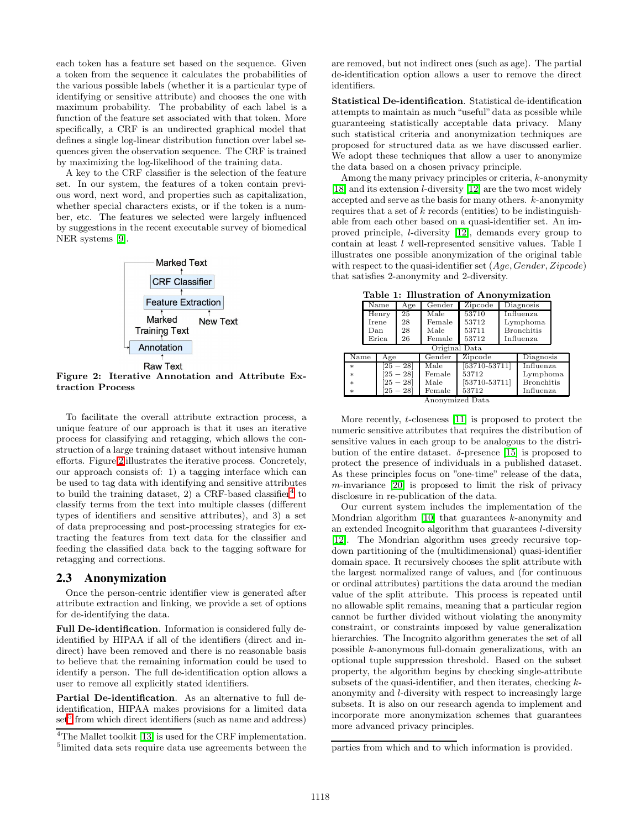each token has a feature set based on the sequence. Given a token from the sequence it calculates the probabilities of the various possible labels (whether it is a particular type of identifying or sensitive attribute) and chooses the one with maximum probability. The probability of each label is a function of the feature set associated with that token. More specifically, a CRF is an undirected graphical model that defines a single log-linear distribution function over label sequences given the observation sequence. The CRF is trained by maximizing the log-likelihood of the training data.

A key to the CRF classifier is the selection of the feature set. In our system, the features of a token contain previous word, next word, and properties such as capitalization, whether special characters exists, or if the token is a number, etc. The features we selected were largely influenced by suggestions in the recent executable survey of biomedical NER systems [\[9\]](#page-3-15).



<span id="page-2-0"></span>Figure 2: Iterative Annotation and Attribute Extraction Process

To facilitate the overall attribute extraction process, a unique feature of our approach is that it uses an iterative process for classifying and retagging, which allows the construction of a large training dataset without intensive human efforts. Figure [2](#page-2-0) illustrates the iterative process. Concretely, our approach consists of: 1) a tagging interface which can be used to tag data with identifying and sensitive attributes to build the training dataset, 2) a CRF-based classifier<sup>[4](#page-2-1)</sup> to classify terms from the text into multiple classes (different types of identifiers and sensitive attributes), and 3) a set of data preprocessing and post-processing strategies for extracting the features from text data for the classifier and feeding the classified data back to the tagging software for retagging and corrections.

#### 2.3 Anonymization

Once the person-centric identifier view is generated after attribute extraction and linking, we provide a set of options for de-identifying the data.

Full De-identification. Information is considered fully deidentified by HIPAA if all of the identifiers (direct and indirect) have been removed and there is no reasonable basis to believe that the remaining information could be used to identify a person. The full de-identification option allows a user to remove all explicitly stated identifiers.

Partial De-identification. As an alternative to full deidentification, HIPAA makes provisions for a limited data set<sup>[5](#page-2-2)</sup> from which direct identifiers (such as name and address)

are removed, but not indirect ones (such as age). The partial de-identification option allows a user to remove the direct identifiers.

Statistical De-identification. Statistical de-identification attempts to maintain as much "useful" data as possible while guaranteeing statistically acceptable data privacy. Many such statistical criteria and anonymization techniques are proposed for structured data as we have discussed earlier. We adopt these techniques that allow a user to anonymize the data based on a chosen privacy principle.

Among the many privacy principles or criteria, k-anonymity [\[18\]](#page-3-0) and its extension l-diversity [\[12\]](#page-3-1) are the two most widely accepted and serve as the basis for many others. k-anonymity requires that a set of  $k$  records (entities) to be indistinguishable from each other based on a quasi-identifier set. An improved principle, l-diversity [\[12\]](#page-3-1), demands every group to contain at least l well-represented sensitive values. Table I illustrates one possible anonymization of the original table with respect to the quasi-identifier set  $(Aqe, Gender, Zipcode)$ that satisfies 2-anonymity and 2-diversity.

Table 1: Illustration of Anonymization

|                 | Name  |     | Age         | Gender | Zipcode           | Diagnosis         |                   |  |
|-----------------|-------|-----|-------------|--------|-------------------|-------------------|-------------------|--|
|                 | Henry |     | 25          | Male   | 53710             | Influenza         |                   |  |
|                 | Irene |     | 28          | Female | 53712             | Lymphoma          |                   |  |
|                 | Dan   |     | 28          | Male   | 53711             | <b>Bronchitis</b> |                   |  |
|                 | Erica |     | 26          | Female | 53712             | Influenza         |                   |  |
| Original Data   |       |     |             |        |                   |                   |                   |  |
| Name            |       | Age |             | Gender | Zipcode           |                   | Diagnosis         |  |
| $\ast$          |       |     | $25 - 28$   | Male   | [53710-53711]     |                   | Influenza         |  |
| $\ast$          |       |     | $[25 - 28]$ | Female | 53712             |                   | Lymphoma          |  |
| $\ast$          |       |     | $[25 - 28]$ | Male   | $[53710 - 53711]$ |                   | <b>Bronchitis</b> |  |
| $\ast$          |       |     | $ 25 - 28 $ | Female | 53712             |                   | Influenza         |  |
| Anonymized Data |       |     |             |        |                   |                   |                   |  |

Anonymized Data

More recently, t-closeness [\[11\]](#page-3-2) is proposed to protect the numeric sensitive attributes that requires the distribution of sensitive values in each group to be analogous to the distribution of the entire dataset.  $\delta$ -presence [15] is proposed to protect the presence of individuals in a published dataset. As these principles focus on "one-time" release of the data, m-invariance  $[20]$  is proposed to limit the risk of privacy disclosure in re-publication of the data.

Our current system includes the implementation of the Mondrian algorithm  $[10]$  that guarantees  $k$ -anonymity and an extended Incognito algorithm that guarantees l-diversity [\[12\]](#page-3-1). The Mondrian algorithm uses greedy recursive topdown partitioning of the (multidimensional) quasi-identifier domain space. It recursively chooses the split attribute with the largest normalized range of values, and (for continuous or ordinal attributes) partitions the data around the median value of the split attribute. This process is repeated until no allowable split remains, meaning that a particular region cannot be further divided without violating the anonymity constraint, or constraints imposed by value generalization hierarchies. The Incognito algorithm generates the set of all possible k-anonymous full-domain generalizations, with an optional tuple suppression threshold. Based on the subset property, the algorithm begins by checking single-attribute subsets of the quasi-identifier, and then iterates, checking  $k$ anonymity and l-diversity with respect to increasingly large subsets. It is also on our research agenda to implement and incorporate more anonymization schemes that guarantees more advanced privacy principles.

<span id="page-2-2"></span><span id="page-2-1"></span> ${}^{4}\mathrm{The}$  Mallet toolkit [\[13\]](#page-3-16) is used for the CRF implementation.

<sup>5</sup> limited data sets require data use agreements between the

parties from which and to which information is provided.